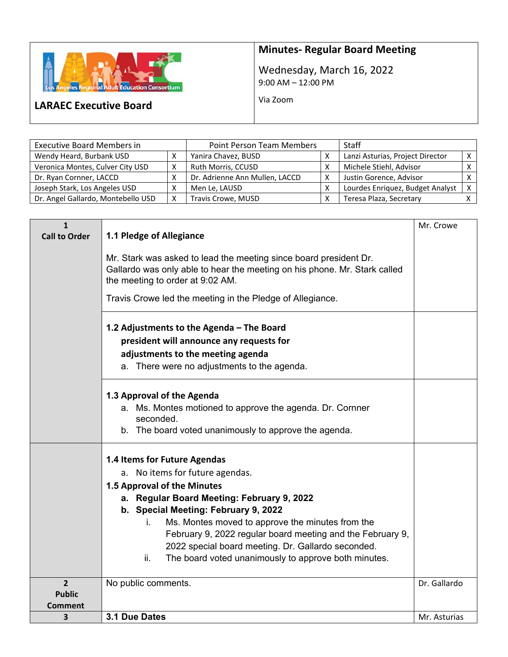

## **Minutes‐ Regular Board Meeting**

Wednesday, March 16, 2022 9:00 AM – 12:00 PM

Via Zoom

## **LARAEC Executive Board**

| <b>Executive Board Members in</b>  | <b>Point Person Team Members</b> |                                | <b>Staff</b> |                                  |            |
|------------------------------------|----------------------------------|--------------------------------|--------------|----------------------------------|------------|
| Wendy Heard, Burbank USD           |                                  | Yanira Chavez, BUSD            |              | Lanzi Asturias, Project Director | $\times$ 1 |
| Veronica Montes, Culver City USD   | x                                | Ruth Morris, CCUSD             |              | Michele Stiehl, Advisor          |            |
| Dr. Ryan Cornner, LACCD            |                                  | Dr. Adrienne Ann Mullen, LACCD |              | Justin Gorence, Advisor          |            |
| Joseph Stark, Los Angeles USD      |                                  | Men Le, LAUSD                  |              | Lourdes Enriquez, Budget Analyst | $\times$ 1 |
| Dr. Angel Gallardo, Montebello USD | X                                | Travis Crowe, MUSD             |              | Teresa Plaza, Secretary          |            |

| $\mathbf{1}$<br><b>Call to Order</b>       | 1.1 Pledge of Allegiance                                                                                                                                                                                                                                                                                                                                                                                                          | Mr. Crowe    |
|--------------------------------------------|-----------------------------------------------------------------------------------------------------------------------------------------------------------------------------------------------------------------------------------------------------------------------------------------------------------------------------------------------------------------------------------------------------------------------------------|--------------|
|                                            | Mr. Stark was asked to lead the meeting since board president Dr.<br>Gallardo was only able to hear the meeting on his phone. Mr. Stark called<br>the meeting to order at 9:02 AM.                                                                                                                                                                                                                                                |              |
|                                            | Travis Crowe led the meeting in the Pledge of Allegiance.                                                                                                                                                                                                                                                                                                                                                                         |              |
|                                            | 1.2 Adjustments to the Agenda - The Board<br>president will announce any requests for<br>adjustments to the meeting agenda<br>a. There were no adjustments to the agenda.                                                                                                                                                                                                                                                         |              |
|                                            | 1.3 Approval of the Agenda<br>a. Ms. Montes motioned to approve the agenda. Dr. Cornner<br>seconded.<br>b. The board voted unanimously to approve the agenda.                                                                                                                                                                                                                                                                     |              |
|                                            | 1.4 Items for Future Agendas<br>a. No items for future agendas.<br>1.5 Approval of the Minutes<br>a. Regular Board Meeting: February 9, 2022<br>b. Special Meeting: February 9, 2022<br>Ms. Montes moved to approve the minutes from the<br>İ.<br>February 9, 2022 regular board meeting and the February 9,<br>2022 special board meeting. Dr. Gallardo seconded.<br>The board voted unanimously to approve both minutes.<br>ii. |              |
| $\overline{2}$<br><b>Public</b><br>Comment | No public comments.                                                                                                                                                                                                                                                                                                                                                                                                               | Dr. Gallardo |
| 3                                          | 3.1 Due Dates                                                                                                                                                                                                                                                                                                                                                                                                                     | Mr. Asturias |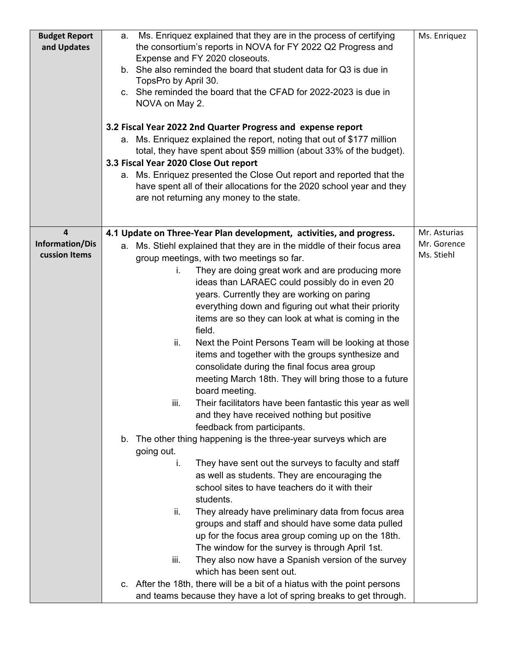| <b>Budget Report</b><br>and Updates                         | Ms. Enriquez explained that they are in the process of certifying<br>a.<br>the consortium's reports in NOVA for FY 2022 Q2 Progress and<br>Expense and FY 2020 closeouts.<br>b. She also reminded the board that student data for Q3 is due in<br>TopsPro by April 30.<br>c. She reminded the board that the CFAD for 2022-2023 is due in<br>NOVA on May 2.<br>3.2 Fiscal Year 2022 2nd Quarter Progress and expense report<br>Ms. Enriquez explained the report, noting that out of \$177 million<br>а.<br>total, they have spent about \$59 million (about 33% of the budget).<br>3.3 Fiscal Year 2020 Close Out report<br>Ms. Enriquez presented the Close Out report and reported that the<br>а.<br>have spent all of their allocations for the 2020 school year and they<br>are not returning any money to the state.                                                         | Ms. Enriquez                              |
|-------------------------------------------------------------|------------------------------------------------------------------------------------------------------------------------------------------------------------------------------------------------------------------------------------------------------------------------------------------------------------------------------------------------------------------------------------------------------------------------------------------------------------------------------------------------------------------------------------------------------------------------------------------------------------------------------------------------------------------------------------------------------------------------------------------------------------------------------------------------------------------------------------------------------------------------------------|-------------------------------------------|
|                                                             |                                                                                                                                                                                                                                                                                                                                                                                                                                                                                                                                                                                                                                                                                                                                                                                                                                                                                    |                                           |
| $\overline{\mathbf{4}}$<br>Information/Dis<br>cussion Items | 4.1 Update on Three-Year Plan development, activities, and progress.<br>a. Ms. Stiehl explained that they are in the middle of their focus area<br>group meetings, with two meetings so far.<br>They are doing great work and are producing more<br>İ.<br>ideas than LARAEC could possibly do in even 20<br>years. Currently they are working on paring<br>everything down and figuring out what their priority<br>items are so they can look at what is coming in the<br>field.<br>ii.<br>Next the Point Persons Team will be looking at those<br>items and together with the groups synthesize and<br>consolidate during the final focus area group<br>meeting March 18th. They will bring those to a future<br>board meeting.<br>Their facilitators have been fantastic this year as well<br>iii.<br>and they have received nothing but positive<br>feedback from participants. | Mr. Asturias<br>Mr. Gorence<br>Ms. Stiehl |
|                                                             | b. The other thing happening is the three-year surveys which are<br>going out.<br>They have sent out the surveys to faculty and staff<br>i.<br>as well as students. They are encouraging the<br>school sites to have teachers do it with their<br>students.<br>ii.<br>They already have preliminary data from focus area<br>groups and staff and should have some data pulled<br>up for the focus area group coming up on the 18th.<br>The window for the survey is through April 1st.<br>They also now have a Spanish version of the survey<br>iii.<br>which has been sent out.<br>c. After the 18th, there will be a bit of a hiatus with the point persons<br>and teams because they have a lot of spring breaks to get through.                                                                                                                                                |                                           |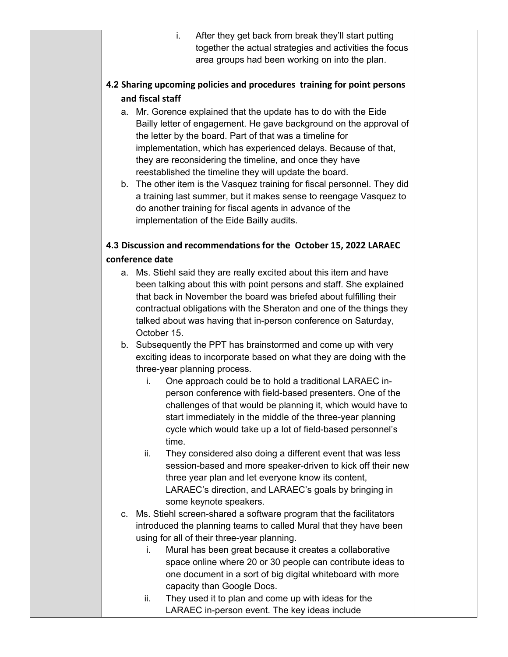| i.<br>After they get back from break they'll start putting               |  |  |  |  |  |  |  |
|--------------------------------------------------------------------------|--|--|--|--|--|--|--|
| together the actual strategies and activities the focus                  |  |  |  |  |  |  |  |
| area groups had been working on into the plan.                           |  |  |  |  |  |  |  |
|                                                                          |  |  |  |  |  |  |  |
| 4.2 Sharing upcoming policies and procedures training for point persons  |  |  |  |  |  |  |  |
| and fiscal staff                                                         |  |  |  |  |  |  |  |
| a. Mr. Gorence explained that the update has to do with the Eide         |  |  |  |  |  |  |  |
| Bailly letter of engagement. He gave background on the approval of       |  |  |  |  |  |  |  |
| the letter by the board. Part of that was a timeline for                 |  |  |  |  |  |  |  |
| implementation, which has experienced delays. Because of that,           |  |  |  |  |  |  |  |
| they are reconsidering the timeline, and once they have                  |  |  |  |  |  |  |  |
| reestablished the timeline they will update the board.                   |  |  |  |  |  |  |  |
|                                                                          |  |  |  |  |  |  |  |
| b. The other item is the Vasquez training for fiscal personnel. They did |  |  |  |  |  |  |  |
| a training last summer, but it makes sense to reengage Vasquez to        |  |  |  |  |  |  |  |
| do another training for fiscal agents in advance of the                  |  |  |  |  |  |  |  |
| implementation of the Eide Bailly audits.                                |  |  |  |  |  |  |  |
|                                                                          |  |  |  |  |  |  |  |
| 4.3 Discussion and recommendations for the October 15, 2022 LARAEC       |  |  |  |  |  |  |  |
| conference date                                                          |  |  |  |  |  |  |  |
| a. Ms. Stiehl said they are really excited about this item and have      |  |  |  |  |  |  |  |
| been talking about this with point persons and staff. She explained      |  |  |  |  |  |  |  |
| that back in November the board was briefed about fulfilling their       |  |  |  |  |  |  |  |
| contractual obligations with the Sheraton and one of the things they     |  |  |  |  |  |  |  |
| talked about was having that in-person conference on Saturday,           |  |  |  |  |  |  |  |
| October 15.                                                              |  |  |  |  |  |  |  |
| b. Subsequently the PPT has brainstormed and come up with very           |  |  |  |  |  |  |  |
| exciting ideas to incorporate based on what they are doing with the      |  |  |  |  |  |  |  |
| three-year planning process.                                             |  |  |  |  |  |  |  |
| One approach could be to hold a traditional LARAEC in-<br>i.             |  |  |  |  |  |  |  |
| person conference with field-based presenters. One of the                |  |  |  |  |  |  |  |
| challenges of that would be planning it, which would have to             |  |  |  |  |  |  |  |
| start immediately in the middle of the three-year planning               |  |  |  |  |  |  |  |
| cycle which would take up a lot of field-based personnel's               |  |  |  |  |  |  |  |
| time.                                                                    |  |  |  |  |  |  |  |
| They considered also doing a different event that was less<br>ii.        |  |  |  |  |  |  |  |
| session-based and more speaker-driven to kick off their new              |  |  |  |  |  |  |  |
| three year plan and let everyone know its content,                       |  |  |  |  |  |  |  |
| LARAEC's direction, and LARAEC's goals by bringing in                    |  |  |  |  |  |  |  |
| some keynote speakers.                                                   |  |  |  |  |  |  |  |
| c. Ms. Stiehl screen-shared a software program that the facilitators     |  |  |  |  |  |  |  |
| introduced the planning teams to called Mural that they have been        |  |  |  |  |  |  |  |
| using for all of their three-year planning.                              |  |  |  |  |  |  |  |
| Mural has been great because it creates a collaborative<br>i.            |  |  |  |  |  |  |  |
| space online where 20 or 30 people can contribute ideas to               |  |  |  |  |  |  |  |
| one document in a sort of big digital whiteboard with more               |  |  |  |  |  |  |  |
| capacity than Google Docs.                                               |  |  |  |  |  |  |  |
| They used it to plan and come up with ideas for the<br>ii.               |  |  |  |  |  |  |  |
| LARAEC in-person event. The key ideas include                            |  |  |  |  |  |  |  |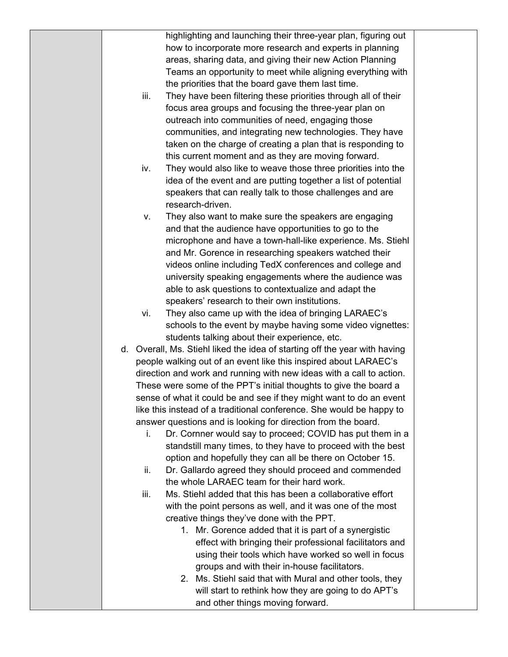|      | highlighting and launching their three-year plan, figuring out             |  |
|------|----------------------------------------------------------------------------|--|
|      | how to incorporate more research and experts in planning                   |  |
|      | areas, sharing data, and giving their new Action Planning                  |  |
|      | Teams an opportunity to meet while aligning everything with                |  |
|      | the priorities that the board gave them last time.                         |  |
| iii. | They have been filtering these priorities through all of their             |  |
|      | focus area groups and focusing the three-year plan on                      |  |
|      | outreach into communities of need, engaging those                          |  |
|      | communities, and integrating new technologies. They have                   |  |
|      | taken on the charge of creating a plan that is responding to               |  |
|      | this current moment and as they are moving forward.                        |  |
| iv.  | They would also like to weave those three priorities into the              |  |
|      | idea of the event and are putting together a list of potential             |  |
|      | speakers that can really talk to those challenges and are                  |  |
|      | research-driven.                                                           |  |
| ν.   | They also want to make sure the speakers are engaging                      |  |
|      | and that the audience have opportunities to go to the                      |  |
|      | microphone and have a town-hall-like experience. Ms. Stiehl                |  |
|      | and Mr. Gorence in researching speakers watched their                      |  |
|      | videos online including TedX conferences and college and                   |  |
|      | university speaking engagements where the audience was                     |  |
|      | able to ask questions to contextualize and adapt the                       |  |
|      | speakers' research to their own institutions.                              |  |
| vi.  | They also came up with the idea of bringing LARAEC's                       |  |
|      | schools to the event by maybe having some video vignettes:                 |  |
|      | students talking about their experience, etc.                              |  |
|      | d. Overall, Ms. Stiehl liked the idea of starting off the year with having |  |
|      | people walking out of an event like this inspired about LARAEC's           |  |
|      | direction and work and running with new ideas with a call to action.       |  |
|      | These were some of the PPT's initial thoughts to give the board a          |  |
|      | sense of what it could be and see if they might want to do an event        |  |
|      | like this instead of a traditional conference. She would be happy to       |  |
|      | answer questions and is looking for direction from the board.              |  |
| i.   | Dr. Cornner would say to proceed; COVID has put them in a                  |  |
|      | standstill many times, to they have to proceed with the best               |  |
|      | option and hopefully they can all be there on October 15.                  |  |
| ii.  | Dr. Gallardo agreed they should proceed and commended                      |  |
|      | the whole LARAEC team for their hard work.                                 |  |
| iii. | Ms. Stiehl added that this has been a collaborative effort                 |  |
|      | with the point persons as well, and it was one of the most                 |  |
|      | creative things they've done with the PPT.                                 |  |
|      | 1. Mr. Gorence added that it is part of a synergistic                      |  |
|      | effect with bringing their professional facilitators and                   |  |
|      | using their tools which have worked so well in focus                       |  |
|      | groups and with their in-house facilitators.                               |  |
|      | 2. Ms. Stiehl said that with Mural and other tools, they                   |  |
|      | will start to rethink how they are going to do APT's                       |  |
|      | and other things moving forward.                                           |  |
|      |                                                                            |  |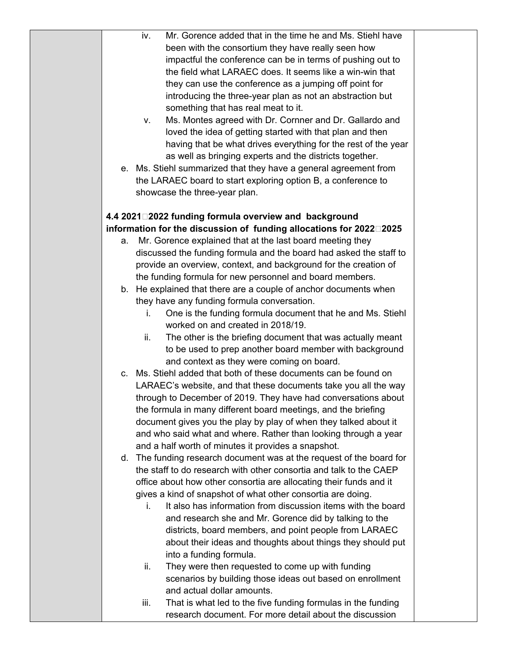| Mr. Gorence added that in the time he and Ms. Stiehl have<br>iv.                  |  |
|-----------------------------------------------------------------------------------|--|
| been with the consortium they have really seen how                                |  |
| impactful the conference can be in terms of pushing out to                        |  |
| the field what LARAEC does. It seems like a win-win that                          |  |
| they can use the conference as a jumping off point for                            |  |
| introducing the three-year plan as not an abstraction but                         |  |
|                                                                                   |  |
| something that has real meat to it.                                               |  |
| Ms. Montes agreed with Dr. Cornner and Dr. Gallardo and<br>v.                     |  |
| loved the idea of getting started with that plan and then                         |  |
| having that be what drives everything for the rest of the year                    |  |
| as well as bringing experts and the districts together.                           |  |
| e. Ms. Stiehl summarized that they have a general agreement from                  |  |
| the LARAEC board to start exploring option B, a conference to                     |  |
| showcase the three-year plan.                                                     |  |
|                                                                                   |  |
| 4.4 2021□2022 funding formula overview and background                             |  |
| information for the discussion of funding allocations for 2022 <sup>[12025]</sup> |  |
| Mr. Gorence explained that at the last board meeting they<br>а.                   |  |
| discussed the funding formula and the board had asked the staff to                |  |
| provide an overview, context, and background for the creation of                  |  |
| the funding formula for new personnel and board members.                          |  |
| b. He explained that there are a couple of anchor documents when                  |  |
| they have any funding formula conversation.                                       |  |
| One is the funding formula document that he and Ms. Stiehl<br>İ.                  |  |
| worked on and created in 2018/19.                                                 |  |
| The other is the briefing document that was actually meant<br>ii.                 |  |
| to be used to prep another board member with background                           |  |
| and context as they were coming on board.                                         |  |
| c. Ms. Stiehl added that both of these documents can be found on                  |  |
| LARAEC's website, and that these documents take you all the way                   |  |
| through to December of 2019. They have had conversations about                    |  |
| the formula in many different board meetings, and the briefing                    |  |
| document gives you the play by play of when they talked about it                  |  |
| and who said what and where. Rather than looking through a year                   |  |
| and a half worth of minutes it provides a snapshot.                               |  |
| d. The funding research document was at the request of the board for              |  |
| the staff to do research with other consortia and talk to the CAEP                |  |
| office about how other consortia are allocating their funds and it                |  |
| gives a kind of snapshot of what other consortia are doing.                       |  |
| It also has information from discussion items with the board<br>İ.                |  |
| and research she and Mr. Gorence did by talking to the                            |  |
| districts, board members, and point people from LARAEC                            |  |
| about their ideas and thoughts about things they should put                       |  |
| into a funding formula.                                                           |  |
| They were then requested to come up with funding<br>ii.                           |  |
| scenarios by building those ideas out based on enrollment                         |  |
| and actual dollar amounts.                                                        |  |
| That is what led to the five funding formulas in the funding<br>iii.              |  |
| research document. For more detail about the discussion                           |  |
|                                                                                   |  |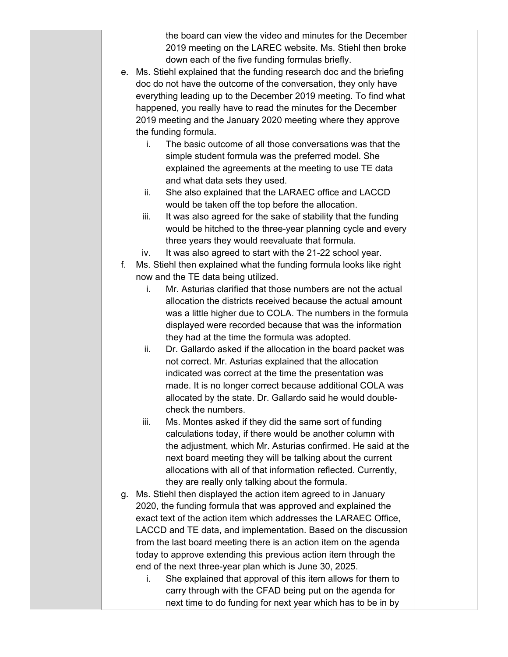|    | the board can view the video and minutes for the December              |  |
|----|------------------------------------------------------------------------|--|
|    | 2019 meeting on the LAREC website. Ms. Stiehl then broke               |  |
|    | down each of the five funding formulas briefly.                        |  |
|    |                                                                        |  |
|    | e. Ms. Stiehl explained that the funding research doc and the briefing |  |
|    | doc do not have the outcome of the conversation, they only have        |  |
|    | everything leading up to the December 2019 meeting. To find what       |  |
|    | happened, you really have to read the minutes for the December         |  |
|    | 2019 meeting and the January 2020 meeting where they approve           |  |
|    | the funding formula.                                                   |  |
|    | The basic outcome of all those conversations was that the<br>i.        |  |
|    | simple student formula was the preferred model. She                    |  |
|    | explained the agreements at the meeting to use TE data                 |  |
|    | and what data sets they used.                                          |  |
|    | She also explained that the LARAEC office and LACCD<br>ii.             |  |
|    | would be taken off the top before the allocation.                      |  |
|    | iii.<br>It was also agreed for the sake of stability that the funding  |  |
|    | would be hitched to the three-year planning cycle and every            |  |
|    | three years they would reevaluate that formula.                        |  |
|    | It was also agreed to start with the 21-22 school year.<br>iv.         |  |
| f. | Ms. Stiehl then explained what the funding formula looks like right    |  |
|    | now and the TE data being utilized.                                    |  |
|    | Mr. Asturias clarified that those numbers are not the actual<br>i.     |  |
|    | allocation the districts received because the actual amount            |  |
|    | was a little higher due to COLA. The numbers in the formula            |  |
|    | displayed were recorded because that was the information               |  |
|    | they had at the time the formula was adopted.                          |  |
|    | ii.<br>Dr. Gallardo asked if the allocation in the board packet was    |  |
|    | not correct. Mr. Asturias explained that the allocation                |  |
|    | indicated was correct at the time the presentation was                 |  |
|    | made. It is no longer correct because additional COLA was              |  |
|    | allocated by the state. Dr. Gallardo said he would double-             |  |
|    | check the numbers.                                                     |  |
|    | iii.<br>Ms. Montes asked if they did the same sort of funding          |  |
|    | calculations today, if there would be another column with              |  |
|    | the adjustment, which Mr. Asturias confirmed. He said at the           |  |
|    | next board meeting they will be talking about the current              |  |
|    | allocations with all of that information reflected. Currently,         |  |
|    | they are really only talking about the formula.                        |  |
| g. | Ms. Stiehl then displayed the action item agreed to in January         |  |
|    | 2020, the funding formula that was approved and explained the          |  |
|    | exact text of the action item which addresses the LARAEC Office,       |  |
|    | LACCD and TE data, and implementation. Based on the discussion         |  |
|    | from the last board meeting there is an action item on the agenda      |  |
|    | today to approve extending this previous action item through the       |  |
|    | end of the next three-year plan which is June 30, 2025.                |  |
|    | She explained that approval of this item allows for them to<br>i.      |  |
|    | carry through with the CFAD being put on the agenda for                |  |
|    | next time to do funding for next year which has to be in by            |  |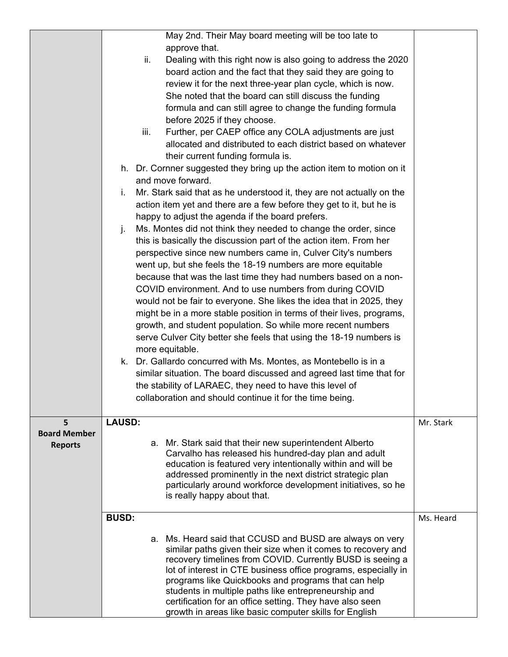|                     | May 2nd. Their May board meeting will be too late to                                                                  |           |
|---------------------|-----------------------------------------------------------------------------------------------------------------------|-----------|
|                     | approve that.                                                                                                         |           |
|                     | ii.<br>Dealing with this right now is also going to address the 2020                                                  |           |
|                     | board action and the fact that they said they are going to                                                            |           |
|                     | review it for the next three-year plan cycle, which is now.                                                           |           |
|                     | She noted that the board can still discuss the funding                                                                |           |
|                     | formula and can still agree to change the funding formula                                                             |           |
|                     | before 2025 if they choose.                                                                                           |           |
|                     | Further, per CAEP office any COLA adjustments are just<br>iii.                                                        |           |
|                     | allocated and distributed to each district based on whatever                                                          |           |
|                     | their current funding formula is.                                                                                     |           |
|                     | h. Dr. Cornner suggested they bring up the action item to motion on it                                                |           |
|                     | and move forward.                                                                                                     |           |
|                     | Mr. Stark said that as he understood it, they are not actually on the<br>i.                                           |           |
|                     | action item yet and there are a few before they get to it, but he is                                                  |           |
|                     | happy to adjust the agenda if the board prefers.                                                                      |           |
|                     | j.<br>Ms. Montes did not think they needed to change the order, since                                                 |           |
|                     | this is basically the discussion part of the action item. From her                                                    |           |
|                     | perspective since new numbers came in, Culver City's numbers                                                          |           |
|                     | went up, but she feels the 18-19 numbers are more equitable                                                           |           |
|                     | because that was the last time they had numbers based on a non-                                                       |           |
|                     | COVID environment. And to use numbers from during COVID                                                               |           |
|                     | would not be fair to everyone. She likes the idea that in 2025, they                                                  |           |
|                     | might be in a more stable position in terms of their lives, programs,                                                 |           |
|                     | growth, and student population. So while more recent numbers                                                          |           |
|                     | serve Culver City better she feels that using the 18-19 numbers is                                                    |           |
|                     | more equitable.                                                                                                       |           |
|                     | k. Dr. Gallardo concurred with Ms. Montes, as Montebello is in a                                                      |           |
|                     | similar situation. The board discussed and agreed last time that for                                                  |           |
|                     | the stability of LARAEC, they need to have this level of                                                              |           |
|                     | collaboration and should continue it for the time being.                                                              |           |
|                     |                                                                                                                       |           |
| 5                   | <b>LAUSD:</b>                                                                                                         | Mr. Stark |
| <b>Board Member</b> | a. Mr. Stark said that their new superintendent Alberto                                                               |           |
| <b>Reports</b>      | Carvalho has released his hundred-day plan and adult                                                                  |           |
|                     | education is featured very intentionally within and will be                                                           |           |
|                     | addressed prominently in the next district strategic plan                                                             |           |
|                     | particularly around workforce development initiatives, so he                                                          |           |
|                     | is really happy about that.                                                                                           |           |
|                     | <b>BUSD:</b>                                                                                                          | Ms. Heard |
|                     |                                                                                                                       |           |
|                     | a. Ms. Heard said that CCUSD and BUSD are always on very                                                              |           |
|                     | similar paths given their size when it comes to recovery and                                                          |           |
|                     | recovery timelines from COVID. Currently BUSD is seeing a                                                             |           |
|                     | lot of interest in CTE business office programs, especially in<br>programs like Quickbooks and programs that can help |           |
|                     | students in multiple paths like entrepreneurship and                                                                  |           |
|                     | certification for an office setting. They have also seen                                                              |           |
|                     | growth in areas like basic computer skills for English                                                                |           |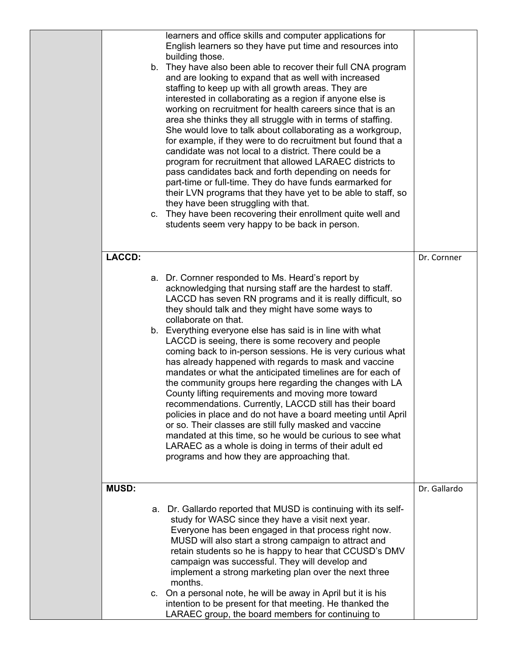|               | learners and office skills and computer applications for<br>English learners so they have put time and resources into<br>building those.<br>b. They have also been able to recover their full CNA program<br>and are looking to expand that as well with increased<br>staffing to keep up with all growth areas. They are<br>interested in collaborating as a region if anyone else is<br>working on recruitment for health careers since that is an<br>area she thinks they all struggle with in terms of staffing.<br>She would love to talk about collaborating as a workgroup,<br>for example, if they were to do recruitment but found that a<br>candidate was not local to a district. There could be a<br>program for recruitment that allowed LARAEC districts to<br>pass candidates back and forth depending on needs for<br>part-time or full-time. They do have funds earmarked for<br>their LVN programs that they have yet to be able to staff, so<br>they have been struggling with that.<br>c. They have been recovering their enrollment quite well and<br>students seem very happy to be back in person. |              |
|---------------|---------------------------------------------------------------------------------------------------------------------------------------------------------------------------------------------------------------------------------------------------------------------------------------------------------------------------------------------------------------------------------------------------------------------------------------------------------------------------------------------------------------------------------------------------------------------------------------------------------------------------------------------------------------------------------------------------------------------------------------------------------------------------------------------------------------------------------------------------------------------------------------------------------------------------------------------------------------------------------------------------------------------------------------------------------------------------------------------------------------------------|--------------|
| <b>LACCD:</b> |                                                                                                                                                                                                                                                                                                                                                                                                                                                                                                                                                                                                                                                                                                                                                                                                                                                                                                                                                                                                                                                                                                                           | Dr. Cornner  |
|               | a. Dr. Cornner responded to Ms. Heard's report by<br>acknowledging that nursing staff are the hardest to staff.<br>LACCD has seven RN programs and it is really difficult, so<br>they should talk and they might have some ways to<br>collaborate on that.<br>b. Everything everyone else has said is in line with what<br>LACCD is seeing, there is some recovery and people<br>coming back to in-person sessions. He is very curious what<br>has already happened with regards to mask and vaccine<br>mandates or what the anticipated timelines are for each of<br>the community groups here regarding the changes with LA<br>County lifting requirements and moving more toward<br>recommendations. Currently, LACCD still has their board<br>policies in place and do not have a board meeting until April<br>or so. Their classes are still fully masked and vaccine<br>mandated at this time, so he would be curious to see what<br>LARAEC as a whole is doing in terms of their adult ed<br>programs and how they are approaching that.                                                                           |              |
| <b>MUSD:</b>  |                                                                                                                                                                                                                                                                                                                                                                                                                                                                                                                                                                                                                                                                                                                                                                                                                                                                                                                                                                                                                                                                                                                           | Dr. Gallardo |
|               | a. Dr. Gallardo reported that MUSD is continuing with its self-<br>study for WASC since they have a visit next year.<br>Everyone has been engaged in that process right now.<br>MUSD will also start a strong campaign to attract and<br>retain students so he is happy to hear that CCUSD's DMV<br>campaign was successful. They will develop and<br>implement a strong marketing plan over the next three<br>months.<br>c. On a personal note, he will be away in April but it is his<br>intention to be present for that meeting. He thanked the<br>LARAEC group, the board members for continuing to                                                                                                                                                                                                                                                                                                                                                                                                                                                                                                                  |              |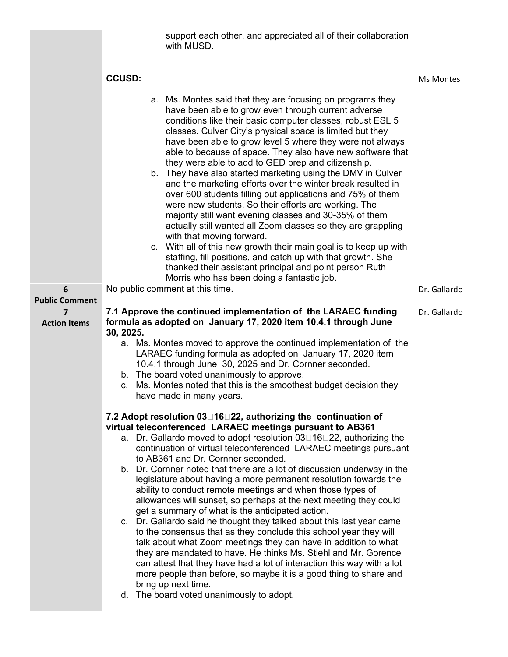|                                                |                 | support each other, and appreciated all of their collaboration<br>with MUSD.                                                                                                                                                                                                                                                                                                                                                                                                                                                                                                                                                                                                                                                                                                                                                                                                                                                                                                                                                                                                                                                                             |                  |
|------------------------------------------------|-----------------|----------------------------------------------------------------------------------------------------------------------------------------------------------------------------------------------------------------------------------------------------------------------------------------------------------------------------------------------------------------------------------------------------------------------------------------------------------------------------------------------------------------------------------------------------------------------------------------------------------------------------------------------------------------------------------------------------------------------------------------------------------------------------------------------------------------------------------------------------------------------------------------------------------------------------------------------------------------------------------------------------------------------------------------------------------------------------------------------------------------------------------------------------------|------------------|
|                                                |                 |                                                                                                                                                                                                                                                                                                                                                                                                                                                                                                                                                                                                                                                                                                                                                                                                                                                                                                                                                                                                                                                                                                                                                          |                  |
|                                                | <b>CCUSD:</b>   |                                                                                                                                                                                                                                                                                                                                                                                                                                                                                                                                                                                                                                                                                                                                                                                                                                                                                                                                                                                                                                                                                                                                                          | <b>Ms Montes</b> |
|                                                |                 | a. Ms. Montes said that they are focusing on programs they<br>have been able to grow even through current adverse<br>conditions like their basic computer classes, robust ESL 5<br>classes. Culver City's physical space is limited but they<br>have been able to grow level 5 where they were not always<br>able to because of space. They also have new software that<br>they were able to add to GED prep and citizenship.<br>b. They have also started marketing using the DMV in Culver<br>and the marketing efforts over the winter break resulted in<br>over 600 students filling out applications and 75% of them<br>were new students. So their efforts are working. The<br>majority still want evening classes and 30-35% of them<br>actually still wanted all Zoom classes so they are grappling<br>with that moving forward.<br>c. With all of this new growth their main goal is to keep up with<br>staffing, fill positions, and catch up with that growth. She                                                                                                                                                                            |                  |
|                                                |                 | thanked their assistant principal and point person Ruth                                                                                                                                                                                                                                                                                                                                                                                                                                                                                                                                                                                                                                                                                                                                                                                                                                                                                                                                                                                                                                                                                                  |                  |
| 6                                              |                 | Morris who has been doing a fantastic job.<br>No public comment at this time.                                                                                                                                                                                                                                                                                                                                                                                                                                                                                                                                                                                                                                                                                                                                                                                                                                                                                                                                                                                                                                                                            | Dr. Gallardo     |
| <b>Public Comment</b>                          |                 |                                                                                                                                                                                                                                                                                                                                                                                                                                                                                                                                                                                                                                                                                                                                                                                                                                                                                                                                                                                                                                                                                                                                                          |                  |
| $\overline{\mathbf{z}}$<br><b>Action Items</b> | 30, 2025.<br>C. | 7.1 Approve the continued implementation of the LARAEC funding<br>formula as adopted on January 17, 2020 item 10.4.1 through June<br>a. Ms. Montes moved to approve the continued implementation of the<br>LARAEC funding formula as adopted on January 17, 2020 item<br>10.4.1 through June 30, 2025 and Dr. Cornner seconded.<br>b. The board voted unanimously to approve.<br>Ms. Montes noted that this is the smoothest budget decision they<br>have made in many years.                                                                                                                                                                                                                                                                                                                                                                                                                                                                                                                                                                                                                                                                            | Dr. Gallardo     |
|                                                |                 | 7.2 Adopt resolution 03 16 22, authorizing the continuation of<br>virtual teleconferenced LARAEC meetings pursuant to AB361<br>a. Dr. Gallardo moved to adopt resolution 03□16□22, authorizing the<br>continuation of virtual teleconferenced LARAEC meetings pursuant<br>to AB361 and Dr. Cornner seconded.<br>b. Dr. Cornner noted that there are a lot of discussion underway in the<br>legislature about having a more permanent resolution towards the<br>ability to conduct remote meetings and when those types of<br>allowances will sunset, so perhaps at the next meeting they could<br>get a summary of what is the anticipated action.<br>c. Dr. Gallardo said he thought they talked about this last year came<br>to the consensus that as they conclude this school year they will<br>talk about what Zoom meetings they can have in addition to what<br>they are mandated to have. He thinks Ms. Stiehl and Mr. Gorence<br>can attest that they have had a lot of interaction this way with a lot<br>more people than before, so maybe it is a good thing to share and<br>bring up next time.<br>d. The board voted unanimously to adopt. |                  |